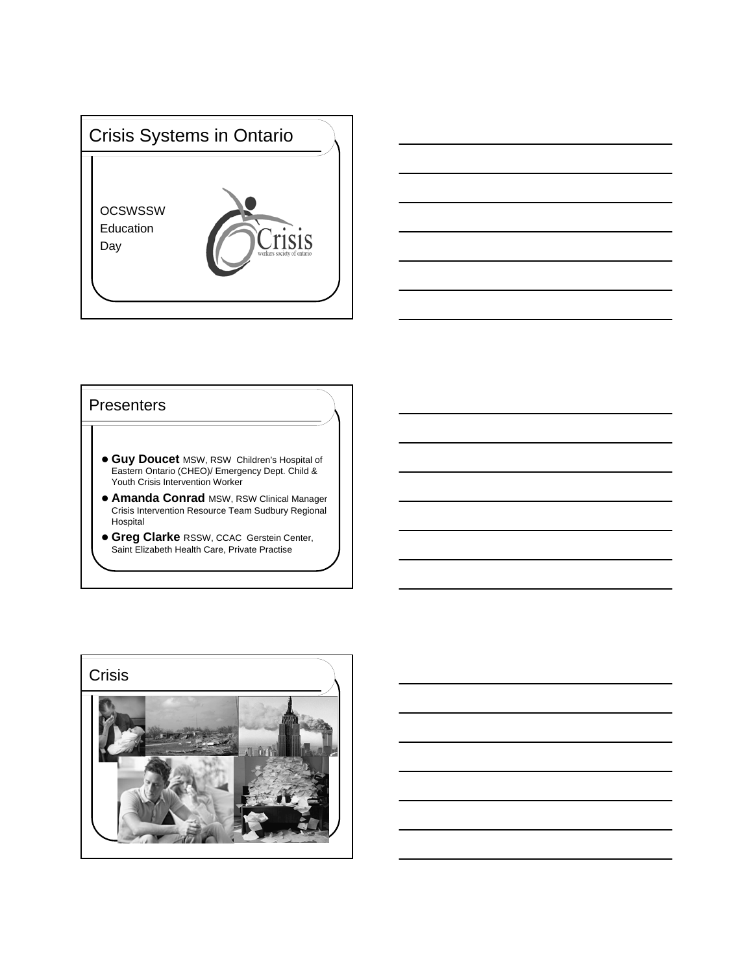



### **Presenters**

- **Guy Doucet** MSW, RSW Children's Hospital of Eastern Ontario (CHEO)/ Emergency Dept. Child & Youth Crisis Intervention Worker
- **Amanda Conrad** MSW, RSW Clinical Manager Crisis Intervention Resource Team Sudbury Regional Hospital
- **Greg Clarke** RSSW, CCAC Gerstein Center, Saint Elizabeth Health Care, Private Practise

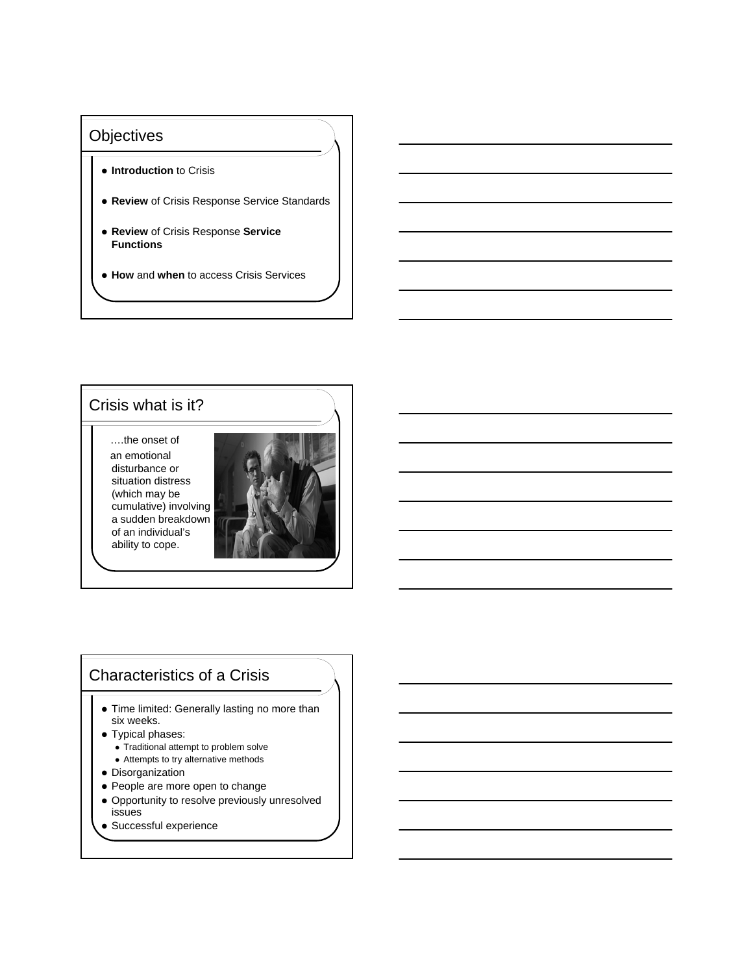## **Objectives**

- $\bullet$  **Introduction** to Crisis
- **Review** of Crisis Response Service Standards
- **Review** of Crisis Response **Service Functions**
- **How** and **when** to access Crisis Services

## Crisis what is it?

….the onset of an emotional disturbance or situation distress (which may be cumulative) involving a sudden breakdown of an individual's ability to cope.



# Characteristics of a Crisis

- Time limited: Generally lasting no more than six weeks.
- Typical phases:
	- Traditional attempt to problem solve
	- Attempts to try alternative methods
- Disorganization
- People are more open to change
- Opportunity to resolve previously unresolved issues
- Successful experience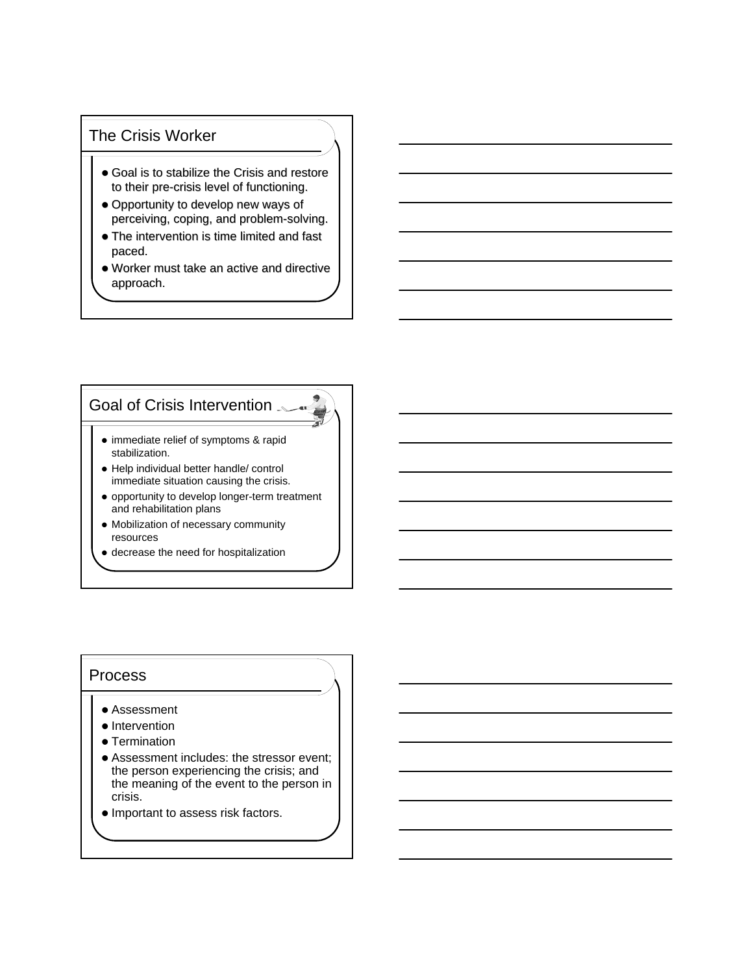## The Crisis Worker

- $\bullet$  Goal is to stabilize the Crisis and restore to their pre-crisis level of functioning.
- Opportunity to develop new ways of perceiving, coping, and problem-solving.
- $\bullet$  The intervention is time limited and fast paced.
- $\bullet$  Worker must take an active and directive approach. approach.

## Goal of Crisis Intervention

- immediate relief of symptoms & rapid stabilization.
- Help individual better handle/ control immediate situation causing the crisis.
- opportunity to develop longer-term treatment and rehabilitation plans

-at  $\Rightarrow$ 

- Mobilization of necessary community resources
- decrease the need for hospitalization

### Process

- Assessment
- Intervention
- Termination
- Assessment includes: the stressor event; the person experiencing the crisis; and the meaning of the event to the person in crisis.
- $\bullet$  Important to assess risk factors.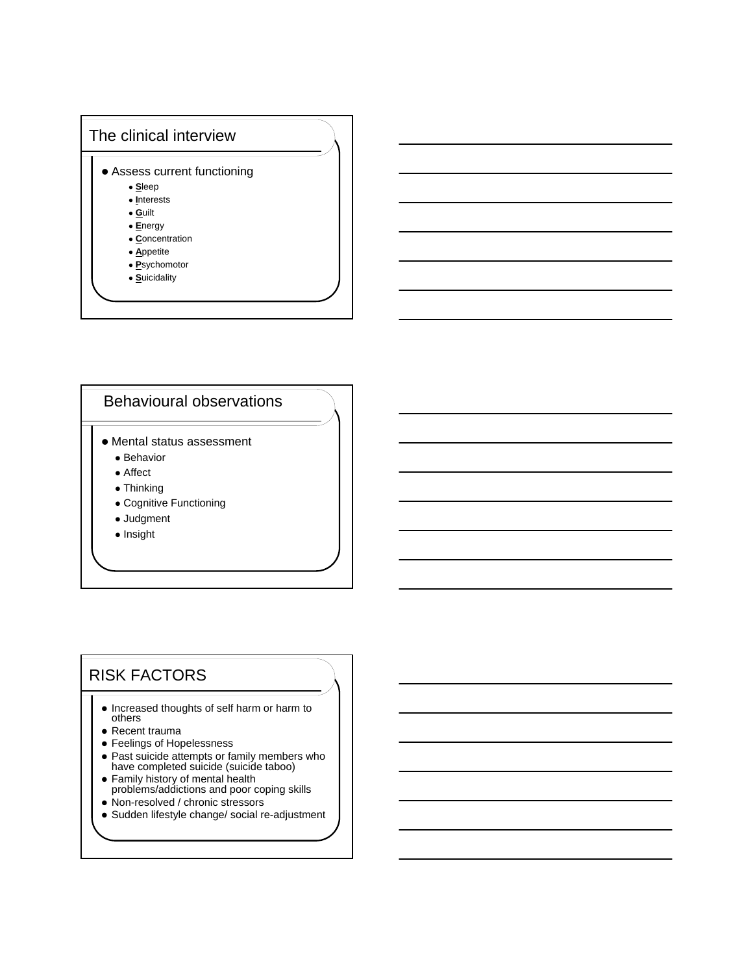

# Behavioural observations

- Mental status assessment
	- Behavior
	- Affect
	- Thinking
	- Cognitive Functioning
	- Judgment
	- Insight

# RISK FACTORS

- Increased thoughts of self harm or harm to others
- Recent trauma
- Feelings of Hopelessness
- Past suicide attempts or family members who have completed suicide (suicide taboo)
- Family history of mental health problems/addictions and poor coping skills
- Non-resolved / chronic stressors
- Sudden lifestyle change/ social re-adjustment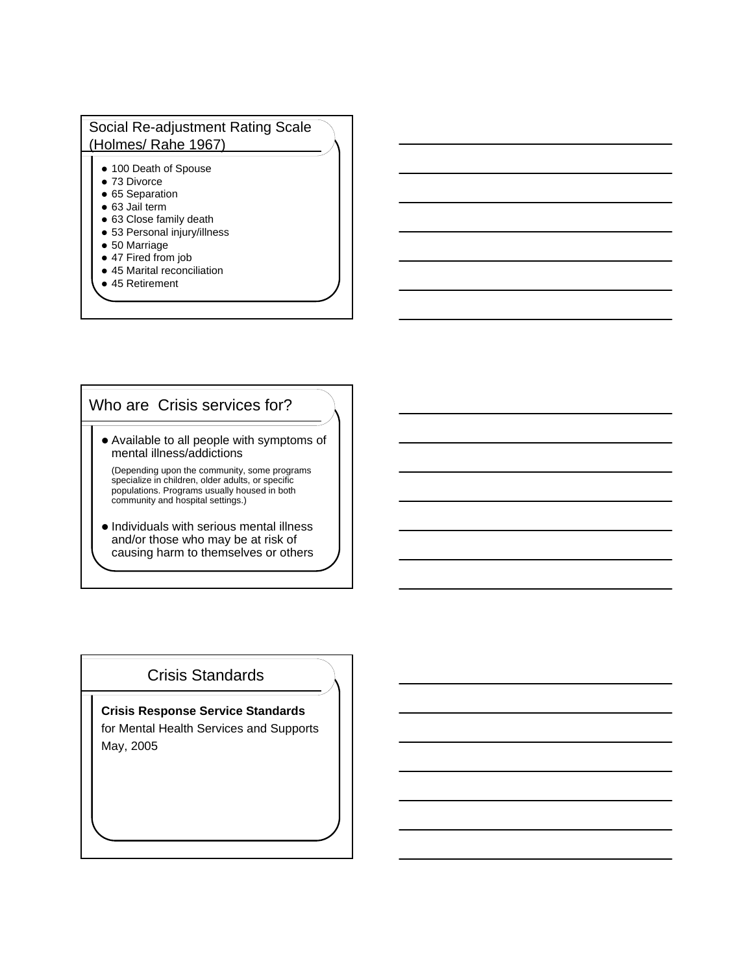## Social Re-adjustment Rating Scale (Holmes/ Rahe 1967)

- 100 Death of Spouse
- 73 Divorce
- **65 Separation**
- 63 Jail term
- 63 Close family death
- 53 Personal injury/illness
- 50 Marriage
- 47 Fired from job
- 45 Marital reconciliation
- 45 Retirement

# Who are Crisis services for?

 Available to all people with symptoms of mental illness/addictions

(Depending upon the community, some programs specialize in children, older adults, or specific populations. Programs usually housed in both community and hospital settings.)

 $\bullet$  Individuals with serious mental illness and/or those who may be at risk of causing harm to themselves or others

# Crisis Standards

**Crisis Response Service Standards**  for Mental Health Services and Supports May, 2005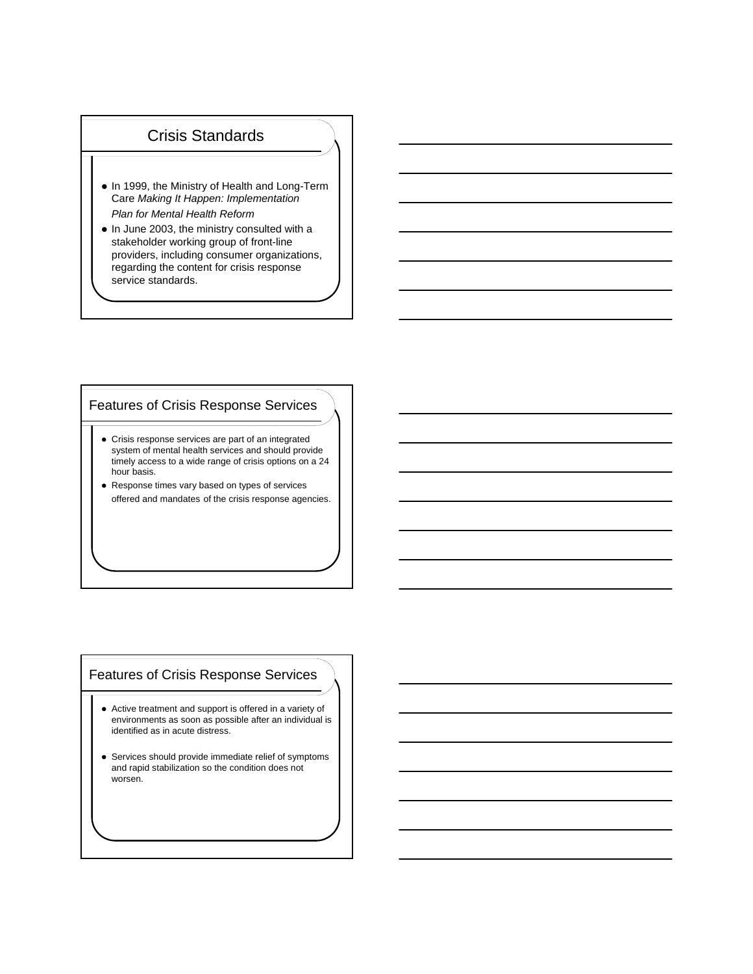### Crisis Standards

- In 1999, the Ministry of Health and Long-Term Care *Making It Happen: Implementation Plan for Mental Health Reform*
- In June 2003, the ministry consulted with a stakeholder working group of front-line providers, including consumer organizations, regarding the content for crisis response service standards.

### Features of Crisis Response Services

- Crisis response services are part of an integrated system of mental health services and should provide timely access to a wide range of crisis options on a 24 hour basis.
- Response times vary based on types of services offered and mandates of the crisis response agencies.

### Features of Crisis Response Services

- Active treatment and support is offered in a variety of environments as soon as possible after an individual is identified as in acute distress.
- Services should provide immediate relief of symptoms and rapid stabilization so the condition does not worsen.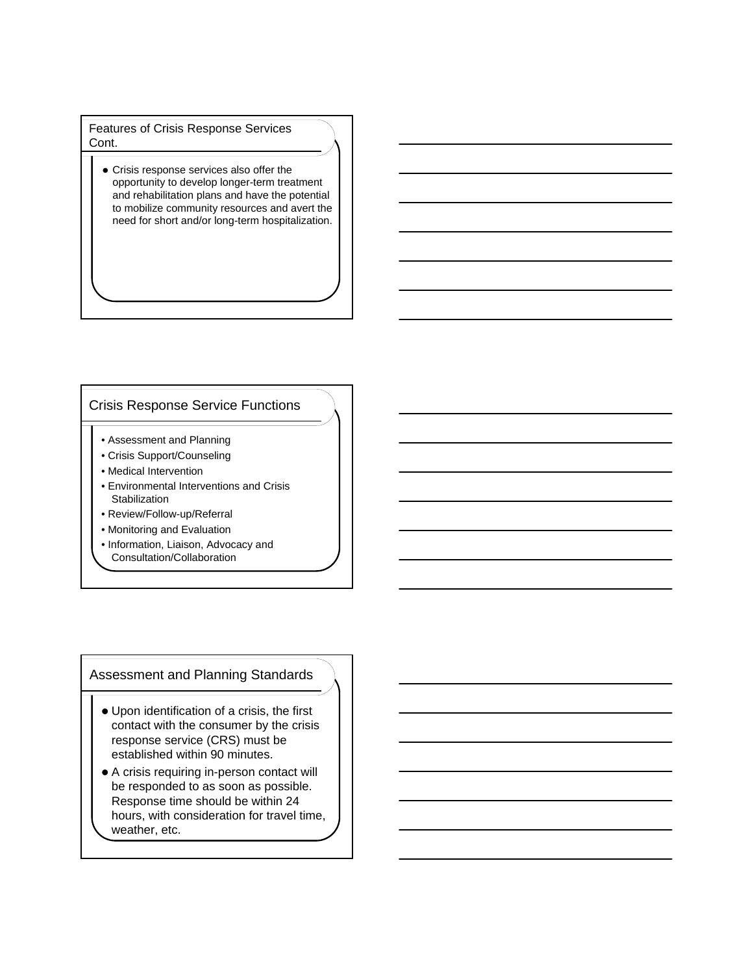Features of Crisis Response Services Cont.

 Crisis response services also offer the opportunity to develop longer-term treatment and rehabilitation plans and have the potential to mobilize community resources and avert the need for short and/or long-term hospitalization.

### Crisis Response Service Functions

- Assessment and Planning
- Crisis Support/Counseling
- Medical Intervention
- Environmental Interventions and Crisis **Stabilization**
- Review/Follow-up/Referral
- Monitoring and Evaluation
- Information, Liaison, Advocacy and Consultation/Collaboration

### Assessment and Planning Standards

- Upon identification of a crisis, the first contact with the consumer by the crisis response service (CRS) must be established within 90 minutes.
- A crisis requiring in-person contact will be responded to as soon as possible. Response time should be within 24 hours, with consideration for travel time, weather, etc.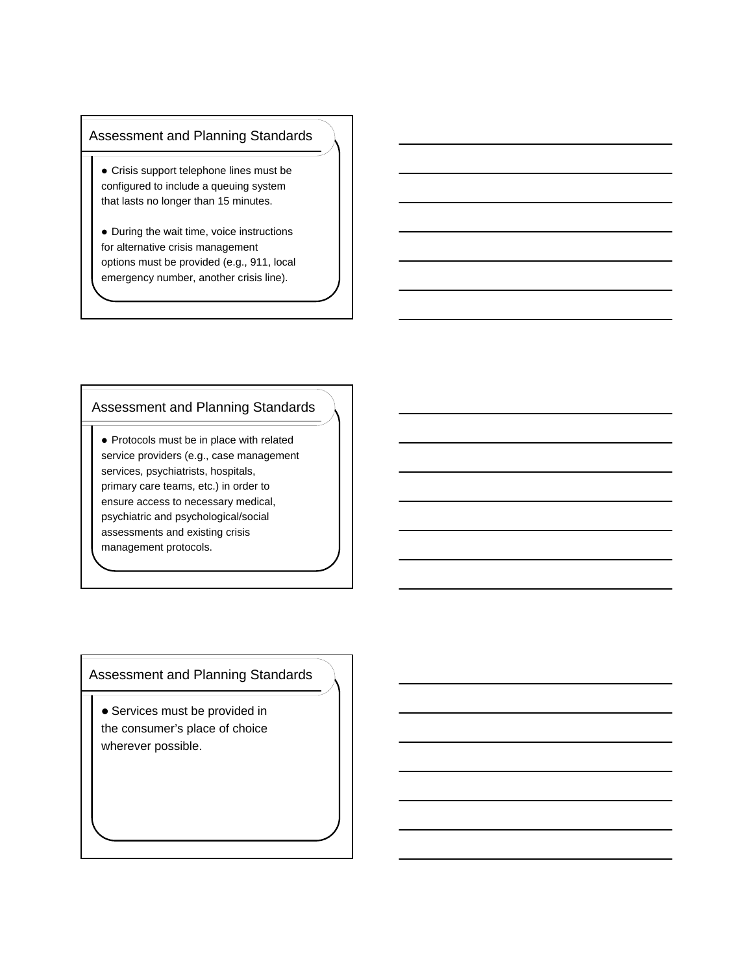### Assessment and Planning Standards

- Crisis support telephone lines must be configured to include a queuing system that lasts no longer than 15 minutes.
- During the wait time, voice instructions for alternative crisis management options must be provided (e.g., 911, local emergency number, another crisis line).

### Assessment and Planning Standards

• Protocols must be in place with related service providers (e.g., case management services, psychiatrists, hospitals, primary care teams, etc.) in order to ensure access to necessary medical, psychiatric and psychological/social assessments and existing crisis management protocols.

Assessment and Planning Standards

 Services must be provided in the consumer's place of choice wherever possible.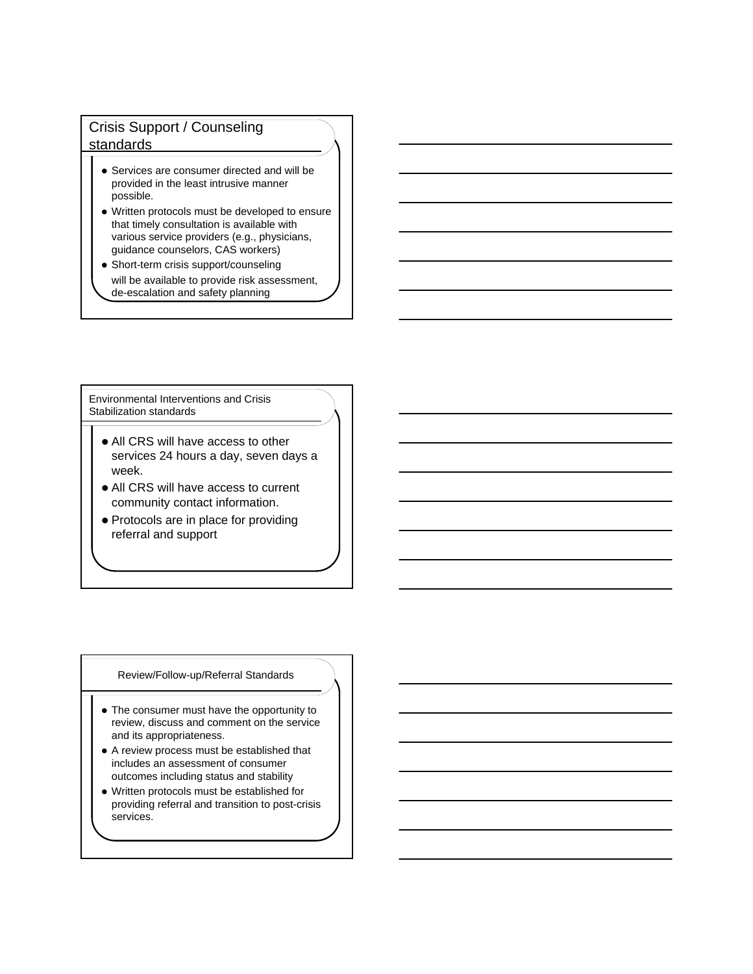## Crisis Support / Counseling standards

- Services are consumer directed and will be provided in the least intrusive manner possible.
- Written protocols must be developed to ensure that timely consultation is available with various service providers (e.g., physicians, guidance counselors, CAS workers)
- Short-term crisis support/counseling will be available to provide risk assessment, de-escalation and safety planning

Environmental Interventions and Crisis Stabilization standards

- All CRS will have access to other services 24 hours a day, seven days a week.
- All CRS will have access to current community contact information.
- Protocols are in place for providing referral and support

#### Review/Follow-up/Referral Standards

- The consumer must have the opportunity to review, discuss and comment on the service and its appropriateness.
- A review process must be established that includes an assessment of consumer outcomes including status and stability
- Written protocols must be established for providing referral and transition to post-crisis services.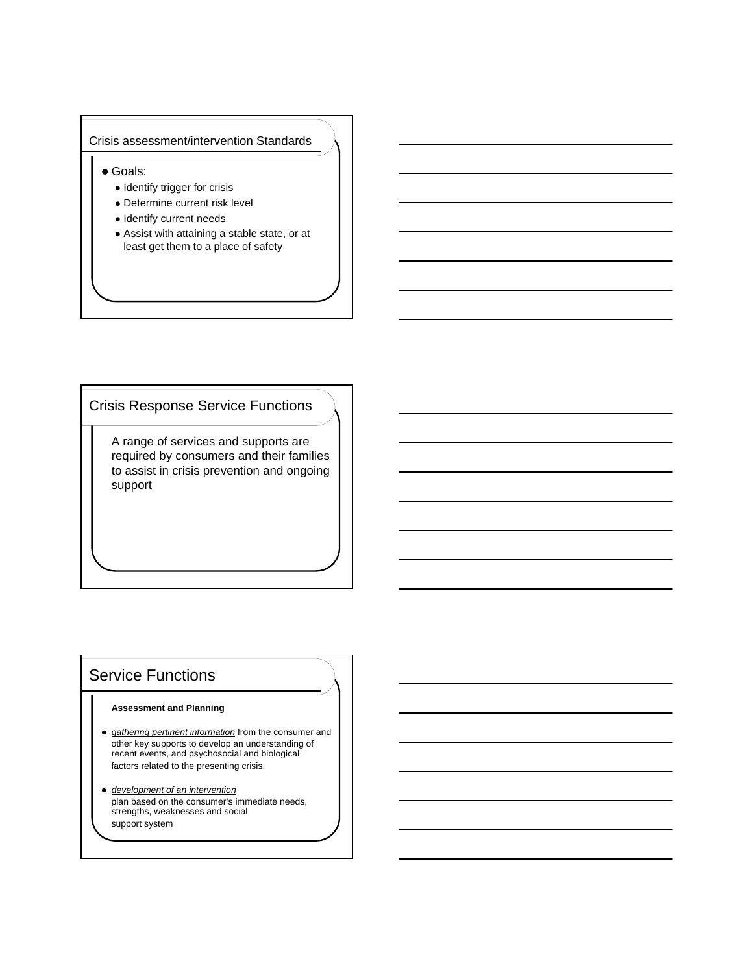#### Crisis assessment/intervention Standards

Goals:

- Identify trigger for crisis
- Determine current risk level
- Identify current needs
- Assist with attaining a stable state, or at least get them to a place of safety

## Crisis Response Service Functions

A range of services and supports are required by consumers and their families to assist in crisis prevention and ongoing support

# Service Functions

#### **Assessment and Planning**

- *gathering pertinent information* from the consumer and other key supports to develop an understanding of recent events, and psychosocial and biological factors related to the presenting crisis.
- *development of an intervention* plan based on the consumer's immediate needs, strengths, weaknesses and social support system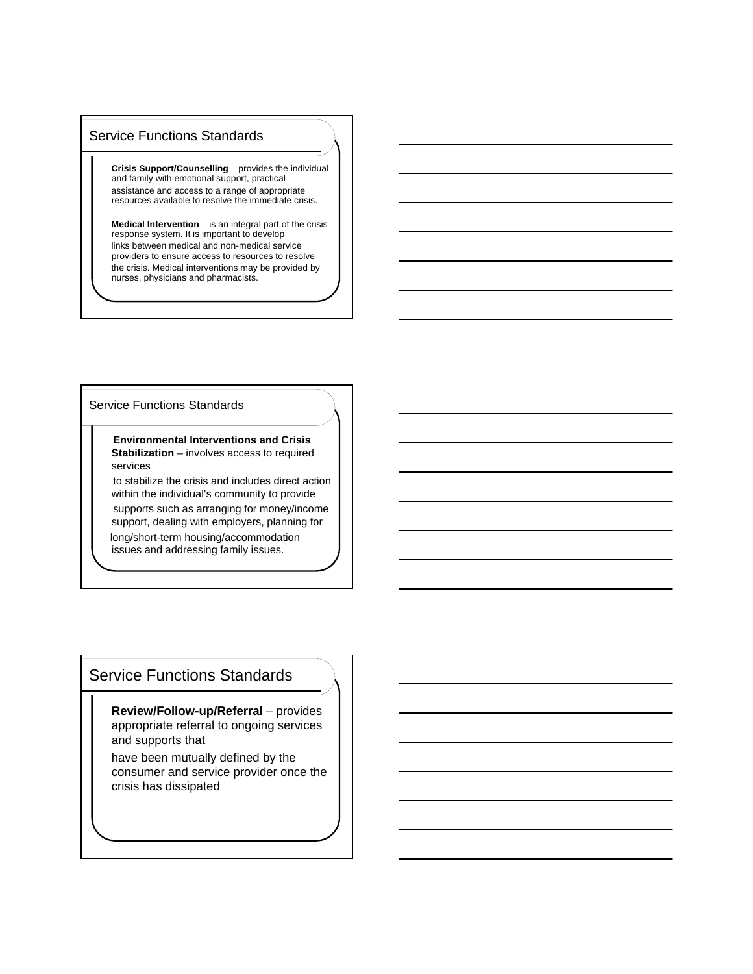### Service Functions Standards

**Crisis Support/Counselling** – provides the individual and family with emotional support, practical assistance and access to a range of appropriate resources available to resolve the immediate crisis.

**Medical Intervention** – is an integral part of the crisis response system. It is important to develop links between medical and non-medical service providers to ensure access to resources to resolve the crisis. Medical interventions may be provided by nurses, physicians and pharmacists.

#### Service Functions Standards

**Environmental Interventions and Crisis Stabilization** – involves access to required services

to stabilize the crisis and includes direct action within the individual's community to provide supports such as arranging for money/income support, dealing with employers, planning for long/short-term housing/accommodation issues and addressing family issues.

## Service Functions Standards

**Review/Follow-up/Referral** – provides appropriate referral to ongoing services and supports that

have been mutually defined by the consumer and service provider once the crisis has dissipated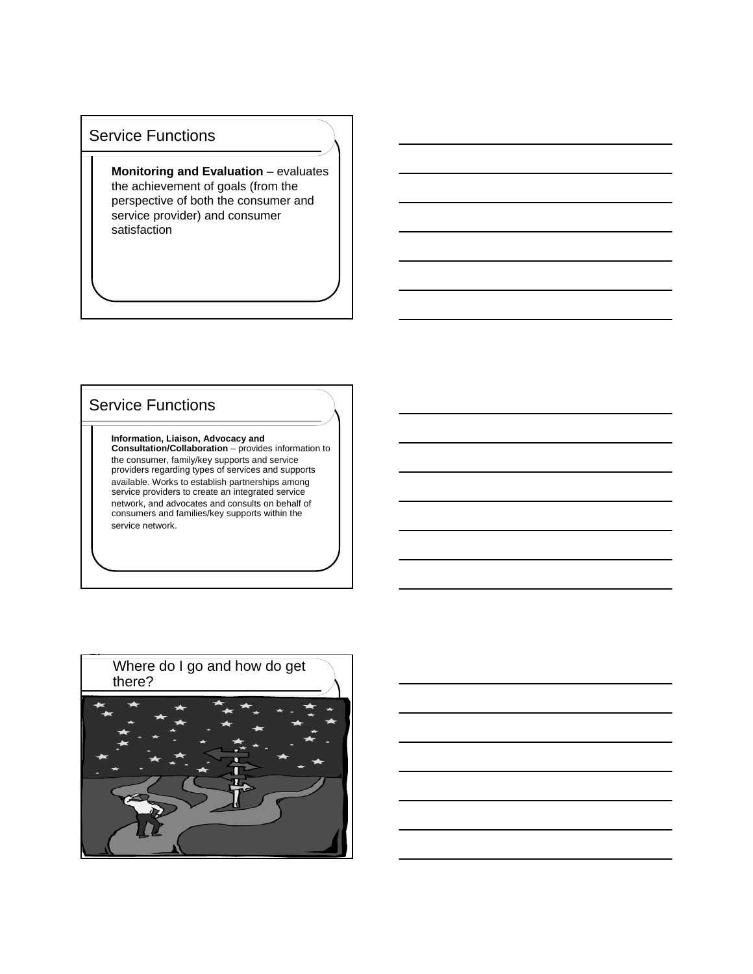## Service Functions

**Monitoring and Evaluation** – evaluates the achievement of goals (from the perspective of both the consumer and service provider) and consumer satisfaction

# Service Functions

**Information, Liaison, Advocacy and Consultation/Collaboration** – provides information to the consumer, family/key supports and service providers regarding types of services and supports available. Works to establish partnerships among service providers to create an integrated service network, and advocates and consults on behalf of consumers and families/key supports within the service network.

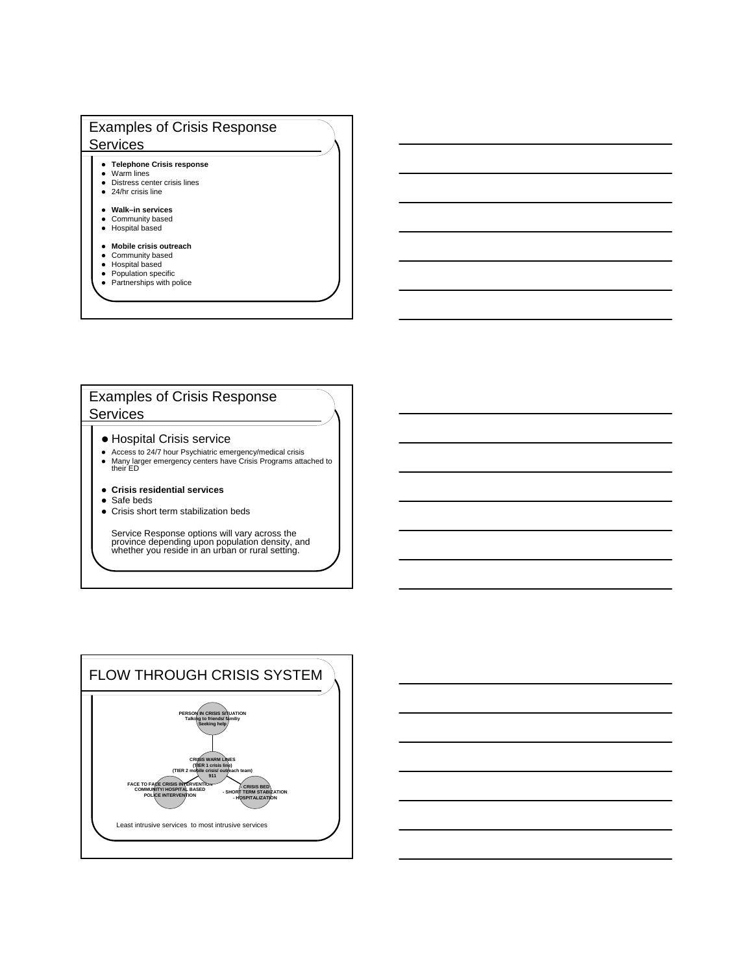## Examples of Crisis Response **Services**

- **Telephone Crisis response**
- Warm lines
- Distress center crisis lines • 24/hr crisis line
- 

#### **Walk–in services** • Community based

- Hospital based
- **Mobile crisis outreach**
- **•** Community based
- 
- Hospital based Population specific
- Partnerships with police

### Examples of Crisis Response Services

- Hospital Crisis service
- Access to 24/7 hour Psychiatric emergency/medical crisis Many larger emergency centers have Crisis Programs attached to their ED
- **Crisis residential services**
- Safe beds
- Crisis short term stabilization beds

Service Response options will vary across the province depending upon population density, and whether you reside in an urban or rural setting.

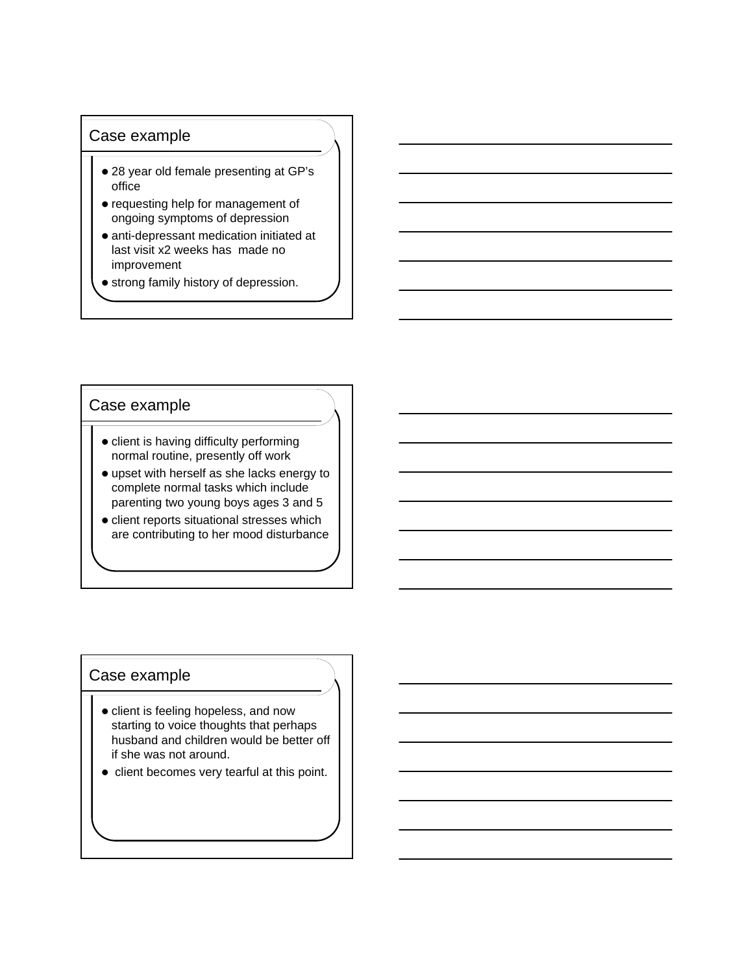## Case example

- 28 year old female presenting at GP's office
- requesting help for management of ongoing symptoms of depression
- anti-depressant medication initiated at last visit x2 weeks has made no improvement
- **•** strong family history of depression.

### Case example

- client is having difficulty performing normal routine, presently off work
- upset with herself as she lacks energy to complete normal tasks which include parenting two young boys ages 3 and 5
- client reports situational stresses which are contributing to her mood disturbance

### Case example

- client is feeling hopeless, and now starting to voice thoughts that perhaps husband and children would be better off if she was not around.
- client becomes very tearful at this point.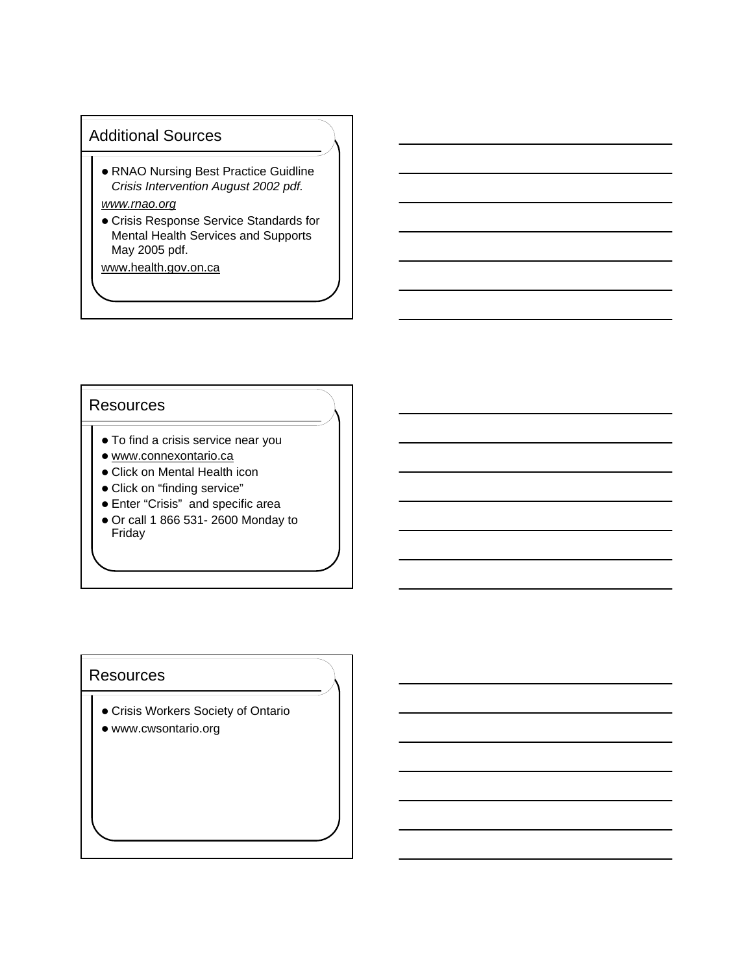## Additional Sources

 RNAO Nursing Best Practice Guidline *Crisis Intervention August 2002 pdf.*

## *www.rnao.org*

 Crisis Response Service Standards for Mental Health Services and Supports May 2005 pdf.

www.health.gov.on.ca

### **Resources**

- To find a crisis service near you
- www.connexontario.ca
- Click on Mental Health icon
- Click on "finding service"
- Enter "Crisis" and specific area
- Or call 1 866 531- 2600 Monday to Friday

### **Resources**

- Crisis Workers Society of Ontario
- www.cwsontario.org